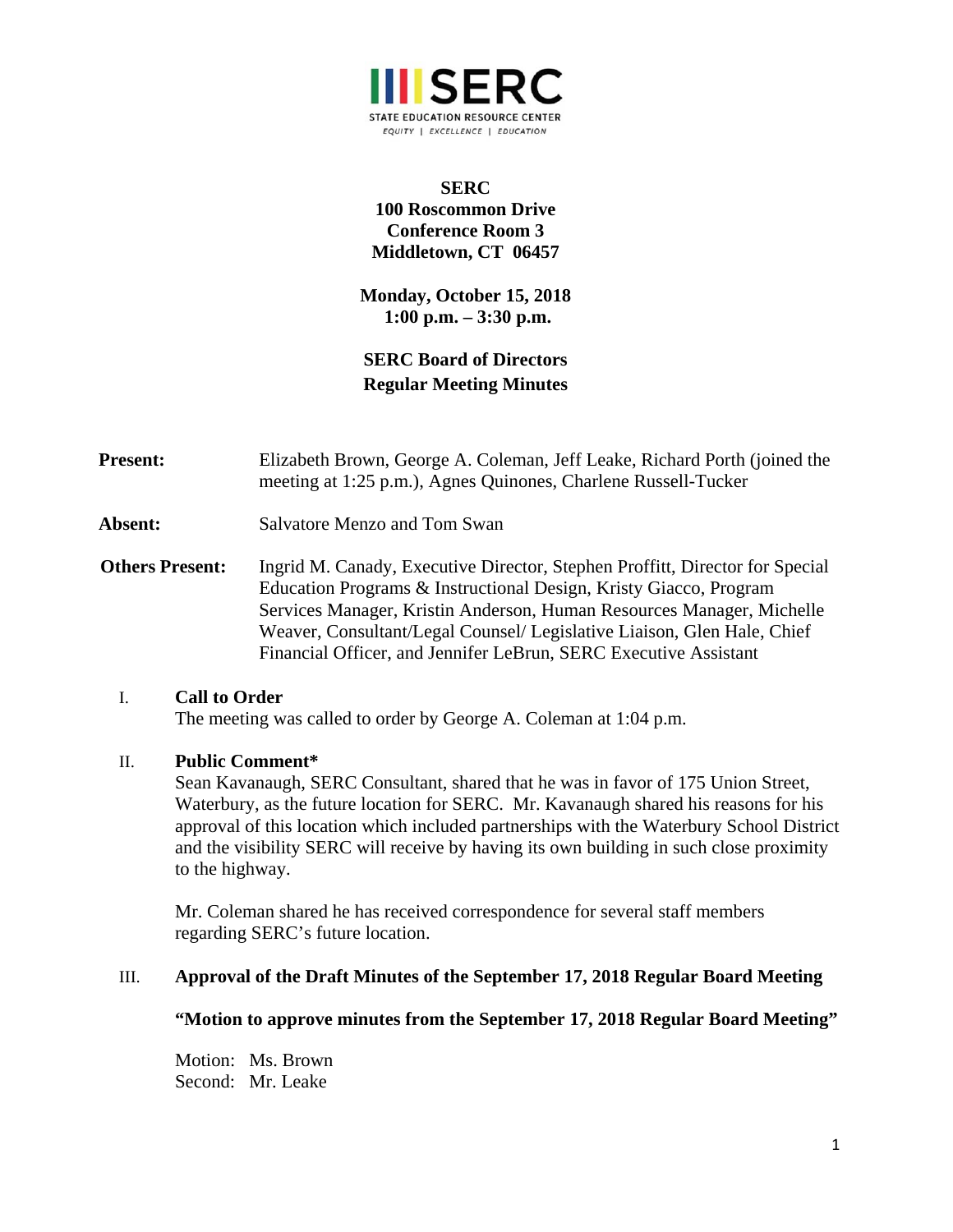

## **SERC 100 Roscommon Drive Conference Room 3 Middletown, CT 06457**

**Monday, October 15, 2018 1:00 p.m. – 3:30 p.m.** 

# **SERC Board of Directors Regular Meeting Minutes**

| <b>Present:</b>        | Elizabeth Brown, George A. Coleman, Jeff Leake, Richard Porth (joined the<br>meeting at 1:25 p.m.), Agnes Quinones, Charlene Russell-Tucker                                                                                                                                                                                                                               |
|------------------------|---------------------------------------------------------------------------------------------------------------------------------------------------------------------------------------------------------------------------------------------------------------------------------------------------------------------------------------------------------------------------|
| Absent:                | Salvatore Menzo and Tom Swan                                                                                                                                                                                                                                                                                                                                              |
| <b>Others Present:</b> | Ingrid M. Canady, Executive Director, Stephen Proffitt, Director for Special<br>Education Programs & Instructional Design, Kristy Giacco, Program<br>Services Manager, Kristin Anderson, Human Resources Manager, Michelle<br>Weaver, Consultant/Legal Counsel/ Legislative Liaison, Glen Hale, Chief<br>Financial Officer, and Jennifer LeBrun, SERC Executive Assistant |

## I. **Call to Order**

The meeting was called to order by George A. Coleman at 1:04 p.m.

## II. **Public Comment\***

Sean Kavanaugh, SERC Consultant, shared that he was in favor of 175 Union Street, Waterbury, as the future location for SERC. Mr. Kavanaugh shared his reasons for his approval of this location which included partnerships with the Waterbury School District and the visibility SERC will receive by having its own building in such close proximity to the highway.

Mr. Coleman shared he has received correspondence for several staff members regarding SERC's future location.

## III. **Approval of the Draft Minutes of the September 17, 2018 Regular Board Meeting**

**"Motion to approve minutes from the September 17, 2018 Regular Board Meeting"**

Motion: Ms. Brown Second: Mr. Leake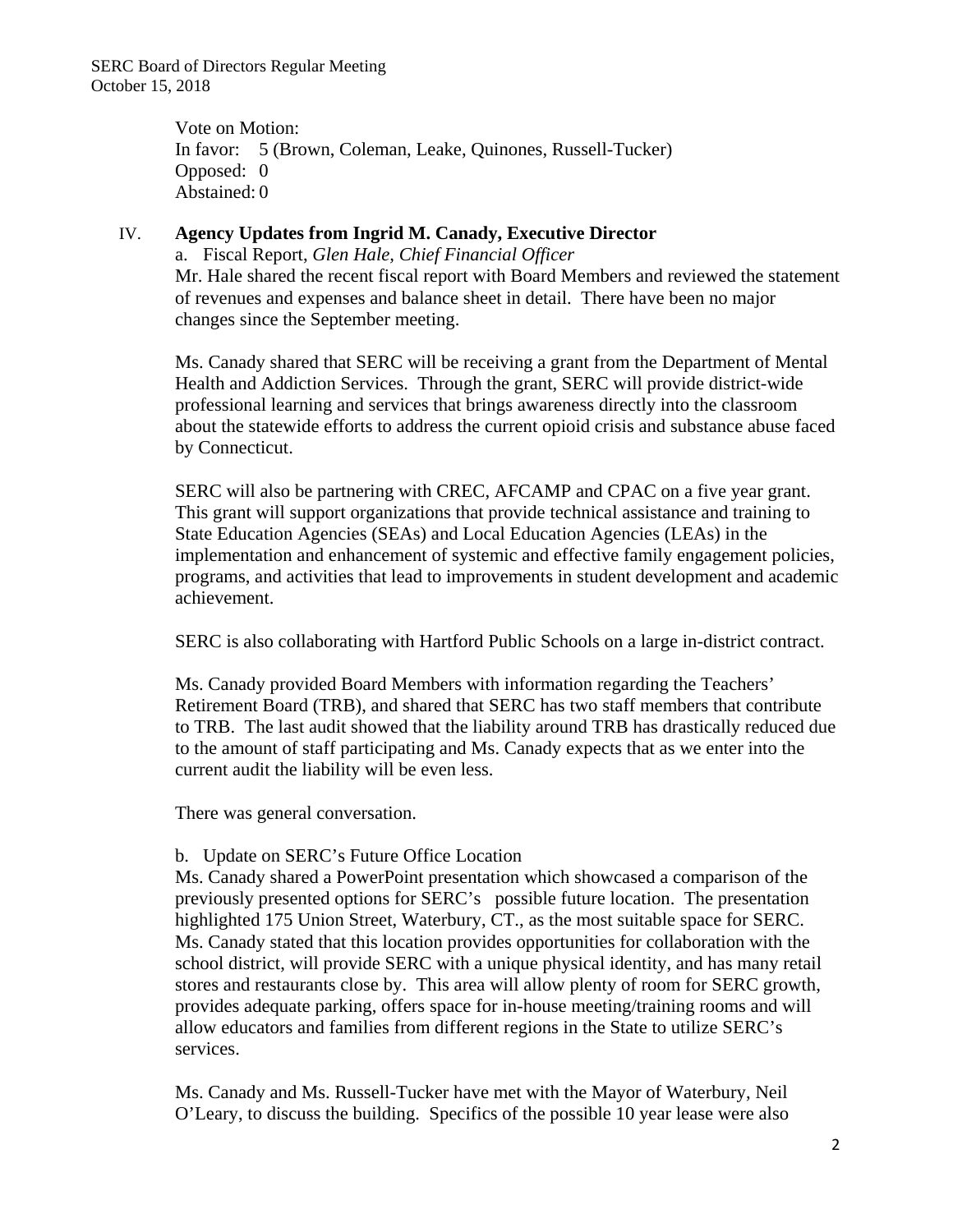Vote on Motion: In favor: 5 (Brown, Coleman, Leake, Quinones, Russell-Tucker) Opposed: 0 Abstained: 0

#### IV. **Agency Updates from Ingrid M. Canady, Executive Director**

a. Fiscal Report, *Glen Hale, Chief Financial Officer*  Mr. Hale shared the recent fiscal report with Board Members and reviewed the statement of revenues and expenses and balance sheet in detail. There have been no major changes since the September meeting.

Ms. Canady shared that SERC will be receiving a grant from the Department of Mental Health and Addiction Services. Through the grant, SERC will provide district-wide professional learning and services that brings awareness directly into the classroom about the statewide efforts to address the current opioid crisis and substance abuse faced by Connecticut.

SERC will also be partnering with CREC, AFCAMP and CPAC on a five year grant. This grant will support organizations that provide technical assistance and training to State Education Agencies (SEAs) and Local Education Agencies (LEAs) in the implementation and enhancement of systemic and effective family engagement policies, programs, and activities that lead to improvements in student development and academic achievement.

SERC is also collaborating with Hartford Public Schools on a large in-district contract.

Ms. Canady provided Board Members with information regarding the Teachers' Retirement Board (TRB), and shared that SERC has two staff members that contribute to TRB. The last audit showed that the liability around TRB has drastically reduced due to the amount of staff participating and Ms. Canady expects that as we enter into the current audit the liability will be even less.

There was general conversation.

## b. Update on SERC's Future Office Location

Ms. Canady shared a PowerPoint presentation which showcased a comparison of the previously presented options for SERC's possible future location. The presentation highlighted 175 Union Street, Waterbury, CT., as the most suitable space for SERC. Ms. Canady stated that this location provides opportunities for collaboration with the school district, will provide SERC with a unique physical identity, and has many retail stores and restaurants close by. This area will allow plenty of room for SERC growth, provides adequate parking, offers space for in-house meeting/training rooms and will allow educators and families from different regions in the State to utilize SERC's services.

Ms. Canady and Ms. Russell-Tucker have met with the Mayor of Waterbury, Neil O'Leary, to discuss the building. Specifics of the possible 10 year lease were also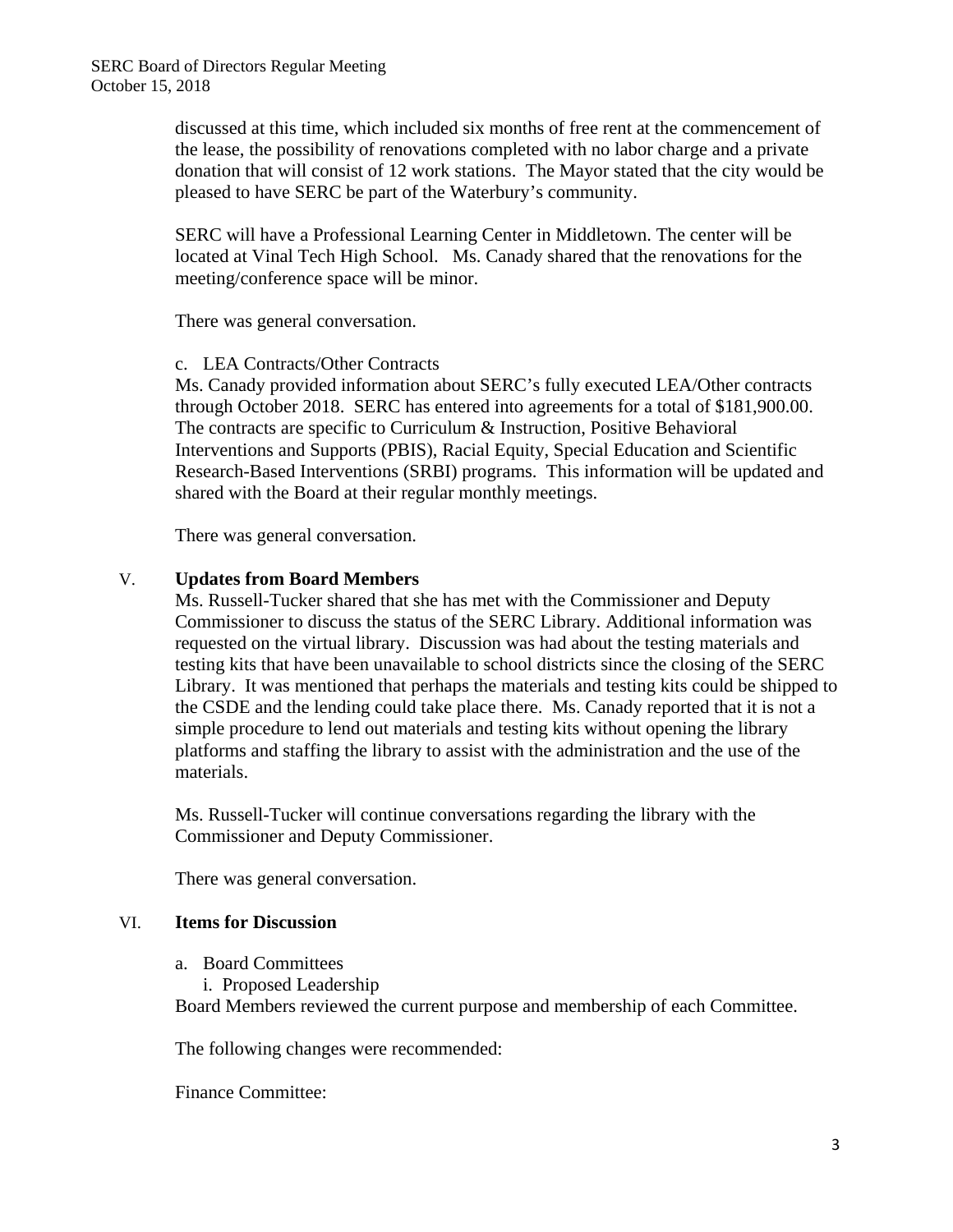discussed at this time, which included six months of free rent at the commencement of the lease, the possibility of renovations completed with no labor charge and a private donation that will consist of 12 work stations. The Mayor stated that the city would be pleased to have SERC be part of the Waterbury's community.

SERC will have a Professional Learning Center in Middletown. The center will be located at Vinal Tech High School. Ms. Canady shared that the renovations for the meeting/conference space will be minor.

There was general conversation.

## c. LEA Contracts/Other Contracts

Ms. Canady provided information about SERC's fully executed LEA/Other contracts through October 2018. SERC has entered into agreements for a total of \$181,900.00. The contracts are specific to Curriculum & Instruction, Positive Behavioral Interventions and Supports (PBIS), Racial Equity, Special Education and Scientific Research-Based Interventions (SRBI) programs. This information will be updated and shared with the Board at their regular monthly meetings.

There was general conversation.

## V. **Updates from Board Members**

Ms. Russell-Tucker shared that she has met with the Commissioner and Deputy Commissioner to discuss the status of the SERC Library. Additional information was requested on the virtual library. Discussion was had about the testing materials and testing kits that have been unavailable to school districts since the closing of the SERC Library. It was mentioned that perhaps the materials and testing kits could be shipped to the CSDE and the lending could take place there. Ms. Canady reported that it is not a simple procedure to lend out materials and testing kits without opening the library platforms and staffing the library to assist with the administration and the use of the materials.

Ms. Russell-Tucker will continue conversations regarding the library with the Commissioner and Deputy Commissioner.

There was general conversation.

## VI. **Items for Discussion**

- a. Board Committees
	- i. Proposed Leadership

Board Members reviewed the current purpose and membership of each Committee.

The following changes were recommended:

Finance Committee: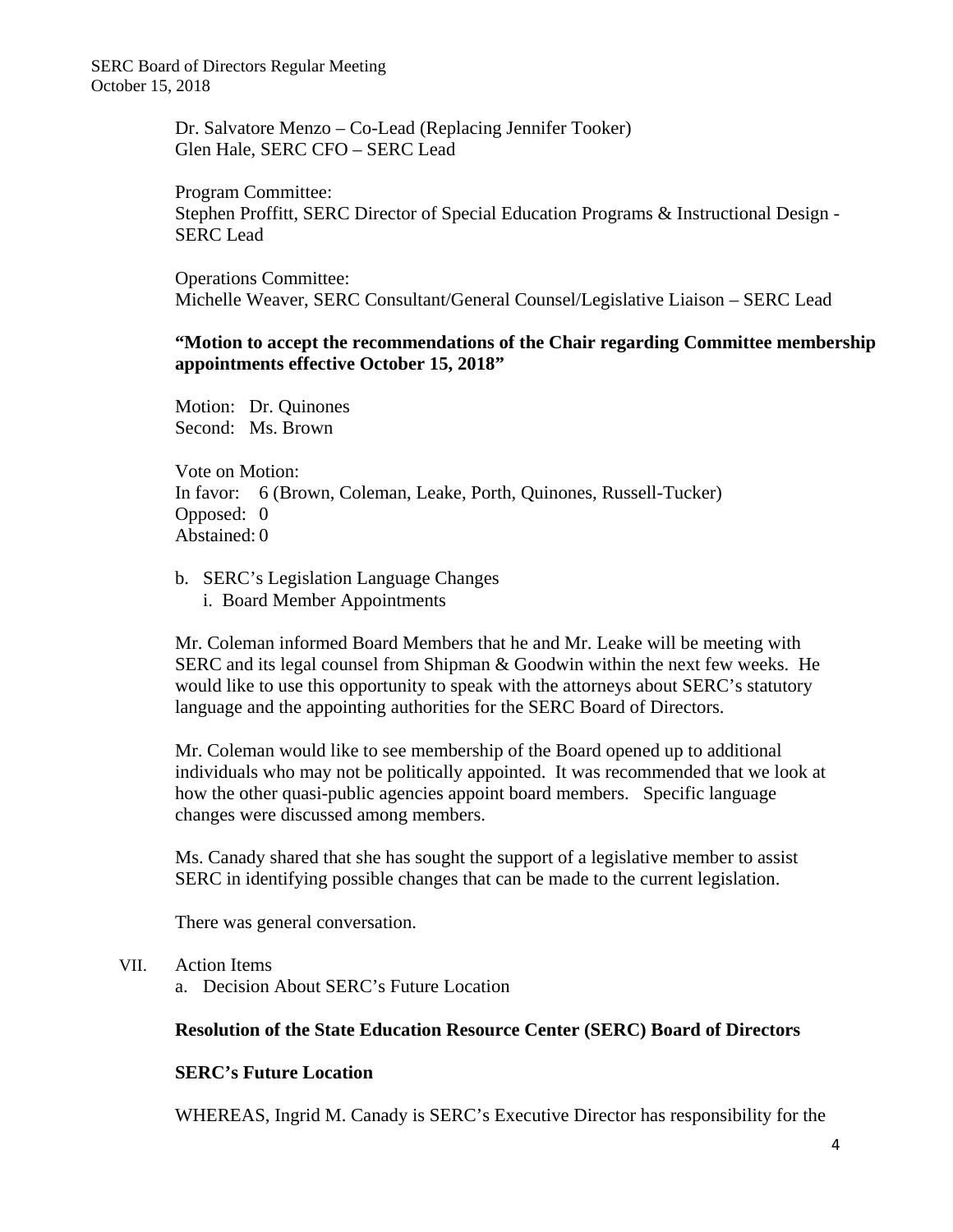SERC Board of Directors Regular Meeting October 15, 2018

> Dr. Salvatore Menzo – Co-Lead (Replacing Jennifer Tooker) Glen Hale, SERC CFO – SERC Lead

Program Committee: Stephen Proffitt, SERC Director of Special Education Programs & Instructional Design - SERC Lead

Operations Committee: Michelle Weaver, SERC Consultant/General Counsel/Legislative Liaison – SERC Lead

#### **"Motion to accept the recommendations of the Chair regarding Committee membership appointments effective October 15, 2018"**

Motion: Dr. Quinones Second: Ms. Brown

Vote on Motion: In favor: 6 (Brown, Coleman, Leake, Porth, Quinones, Russell-Tucker) Opposed: 0 Abstained: 0

- b. SERC's Legislation Language Changes
	- i. Board Member Appointments

Mr. Coleman informed Board Members that he and Mr. Leake will be meeting with SERC and its legal counsel from Shipman & Goodwin within the next few weeks. He would like to use this opportunity to speak with the attorneys about SERC's statutory language and the appointing authorities for the SERC Board of Directors.

Mr. Coleman would like to see membership of the Board opened up to additional individuals who may not be politically appointed. It was recommended that we look at how the other quasi-public agencies appoint board members. Specific language changes were discussed among members.

Ms. Canady shared that she has sought the support of a legislative member to assist SERC in identifying possible changes that can be made to the current legislation.

There was general conversation.

## VII. Action Items

a. Decision About SERC's Future Location

## **Resolution of the State Education Resource Center (SERC) Board of Directors**

## **SERC's Future Location**

WHEREAS, Ingrid M. Canady is SERC's Executive Director has responsibility for the